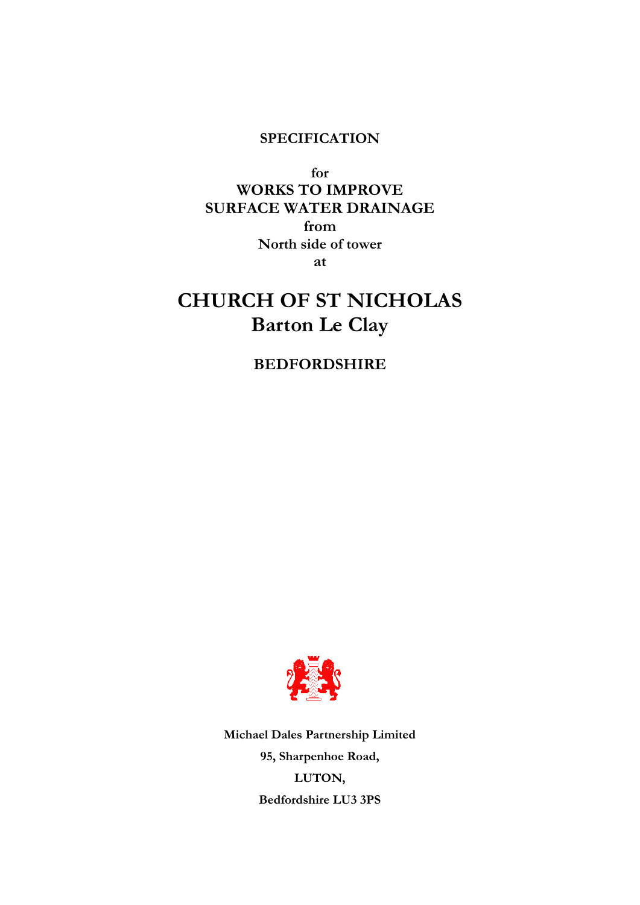## **SPECIFICATION**

**for WORKS TO IMPROVE SURFACE WATER DRAINAGE from North side of tower at**

# **CHURCH OF ST NICHOLAS Barton Le Clay**

## **BEDFORDSHIRE**



**Michael Dales Partnership Limited 95, Sharpenhoe Road, LUTON, Bedfordshire LU3 3PS**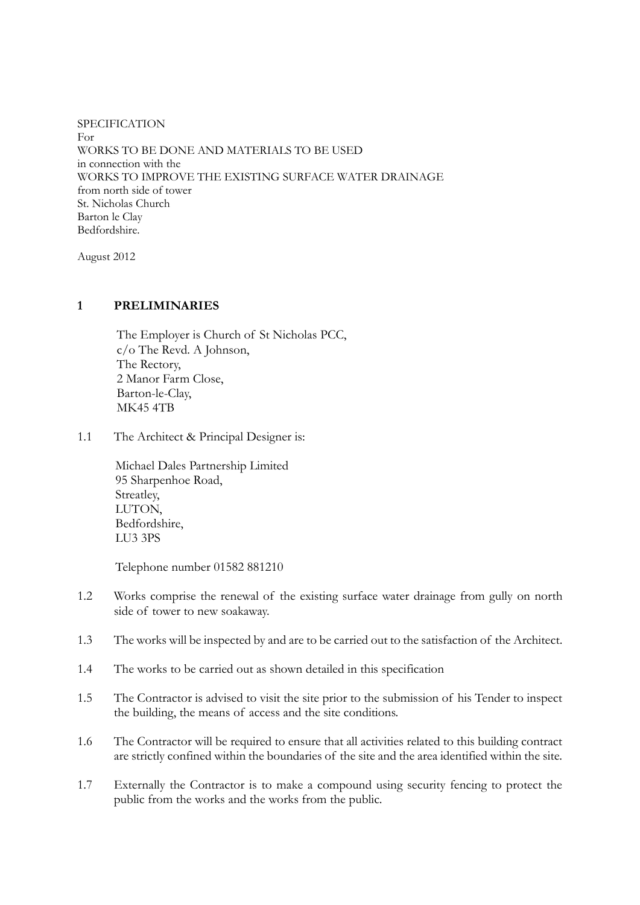SPECIFICATION For WORKS TO BE DONE AND MATERIALS TO BE USED in connection with the WORKS TO IMPROVE THE EXISTING SURFACE WATER DRAINAGE from north side of tower St. Nicholas Church Barton le Clay Bedfordshire.

August 2012

## **1 PRELIMINARIES**

The Employer is Church of St Nicholas PCC, c/o The Revd. A Johnson, The Rectory, 2 Manor Farm Close, Barton-le-Clay, MK45 4TB

1.1 The Architect & Principal Designer is:

Michael Dales Partnership Limited 95 Sharpenhoe Road, Streatley, LUTON, Bedfordshire, LU3 3PS

Telephone number 01582 881210

- 1.2 Works comprise the renewal of the existing surface water drainage from gully on north side of tower to new soakaway.
- 1.3 The works will be inspected by and are to be carried out to the satisfaction of the Architect.
- 1.4 The works to be carried out as shown detailed in this specification
- 1.5 The Contractor is advised to visit the site prior to the submission of his Tender to inspect the building, the means of access and the site conditions.
- 1.6 The Contractor will be required to ensure that all activities related to this building contract are strictly confined within the boundaries of the site and the area identified within the site.
- 1.7 Externally the Contractor is to make a compound using security fencing to protect the public from the works and the works from the public.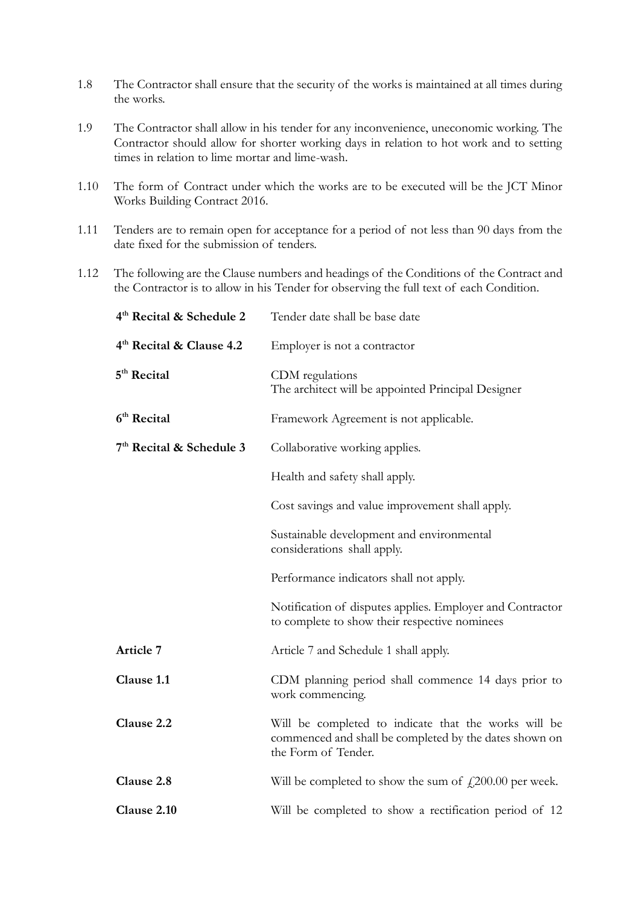- 1.8 The Contractor shall ensure that the security of the works is maintained at all times during the works.
- 1.9 The Contractor shall allow in his tender for any inconvenience, uneconomic working. The Contractor should allow for shorter working days in relation to hot work and to setting times in relation to lime mortar and lime-wash.
- 1.10 The form of Contract under which the works are to be executed will be the JCT Minor Works Building Contract 2016.
- 1.11 Tenders are to remain open for acceptance for a period of not less than 90 days from the date fixed for the submission of tenders.
- 1.12 The following are the Clause numbers and headings of the Conditions of the Contract and the Contractor is to allow in his Tender for observing the full text of each Condition.

| 4 <sup>th</sup> Recital & Schedule 2 | Tender date shall be base date                                                                                                        |  |  |
|--------------------------------------|---------------------------------------------------------------------------------------------------------------------------------------|--|--|
| 4 <sup>th</sup> Recital & Clause 4.2 | Employer is not a contractor                                                                                                          |  |  |
| 5 <sup>th</sup> Recital              | CDM regulations<br>The architect will be appointed Principal Designer                                                                 |  |  |
| 6 <sup>th</sup> Recital              | Framework Agreement is not applicable.                                                                                                |  |  |
| 7 <sup>th</sup> Recital & Schedule 3 | Collaborative working applies.                                                                                                        |  |  |
|                                      | Health and safety shall apply.                                                                                                        |  |  |
|                                      | Cost savings and value improvement shall apply.                                                                                       |  |  |
|                                      | Sustainable development and environmental<br>considerations shall apply.                                                              |  |  |
|                                      | Performance indicators shall not apply.                                                                                               |  |  |
|                                      | Notification of disputes applies. Employer and Contractor<br>to complete to show their respective nominees                            |  |  |
| Article 7                            | Article 7 and Schedule 1 shall apply.                                                                                                 |  |  |
| Clause 1.1                           | CDM planning period shall commence 14 days prior to<br>work commencing.                                                               |  |  |
| Clause 2.2                           | Will be completed to indicate that the works will be<br>commenced and shall be completed by the dates shown on<br>the Form of Tender. |  |  |
| Clause 2.8                           | Will be completed to show the sum of $\text{\textsterling}200.00$ per week.                                                           |  |  |
| Clause 2.10                          | Will be completed to show a rectification period of 12                                                                                |  |  |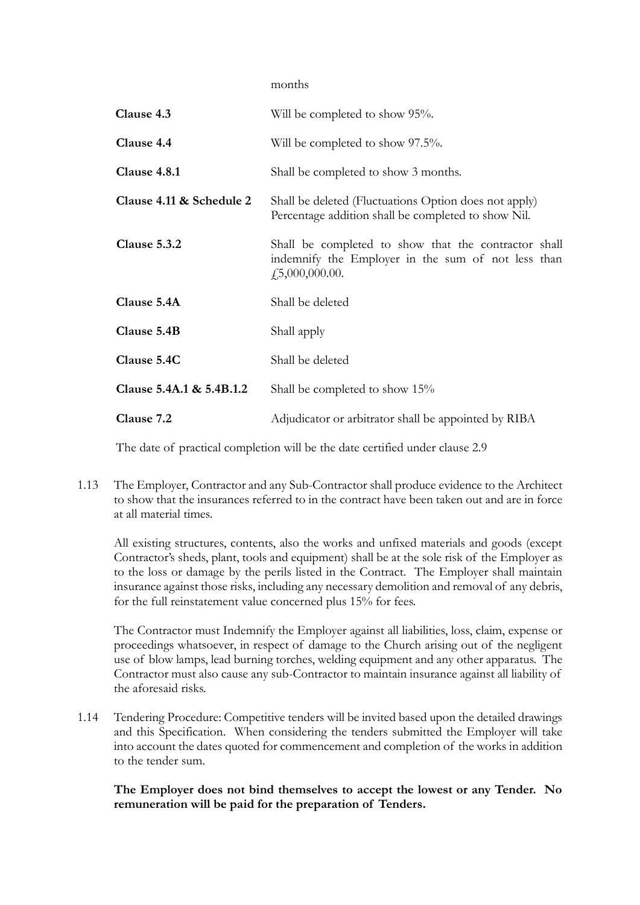months

| Clause 4.3               | Will be completed to show 95%.                                                                                                         |  |  |
|--------------------------|----------------------------------------------------------------------------------------------------------------------------------------|--|--|
| Clause 4.4               | Will be completed to show 97.5%.                                                                                                       |  |  |
| Clause 4.8.1             | Shall be completed to show 3 months.                                                                                                   |  |  |
| Clause 4.11 & Schedule 2 | Shall be deleted (Fluctuations Option does not apply)<br>Percentage addition shall be completed to show Nil.                           |  |  |
| Clause 5.3.2             | Shall be completed to show that the contractor shall<br>indemnify the Employer in the sum of not less than<br>$\dot{f}$ ,5,000,000.00. |  |  |
| Clause 5.4A              | Shall be deleted                                                                                                                       |  |  |
| Clause 5.4B              | Shall apply                                                                                                                            |  |  |
| Clause 5.4C              | Shall be deleted                                                                                                                       |  |  |
| Clause 5.4A.1 & 5.4B.1.2 | Shall be completed to show 15%                                                                                                         |  |  |
| Clause 7.2               | Adjudicator or arbitrator shall be appointed by RIBA                                                                                   |  |  |

The date of practical completion will be the date certified under clause 2.9

1.13 The Employer, Contractor and any Sub-Contractor shall produce evidence to the Architect to show that the insurances referred to in the contract have been taken out and are in force at all material times.

All existing structures, contents, also the works and unfixed materials and goods (except Contractor's sheds, plant, tools and equipment) shall be at the sole risk of the Employer as to the loss or damage by the perils listed in the Contract. The Employer shall maintain insurance against those risks, including any necessary demolition and removal of any debris, for the full reinstatement value concerned plus 15% for fees.

The Contractor must Indemnify the Employer against all liabilities, loss, claim, expense or proceedings whatsoever, in respect of damage to the Church arising out of the negligent use of blow lamps, lead burning torches, welding equipment and any other apparatus. The Contractor must also cause any sub-Contractor to maintain insurance against all liability of the aforesaid risks.

1.14 Tendering Procedure: Competitive tenders will be invited based upon the detailed drawings and this Specification. When considering the tenders submitted the Employer will take into account the dates quoted for commencement and completion of the works in addition to the tender sum.

**The Employer does not bind themselves to accept the lowest or any Tender. No remuneration will be paid for the preparation of Tenders.**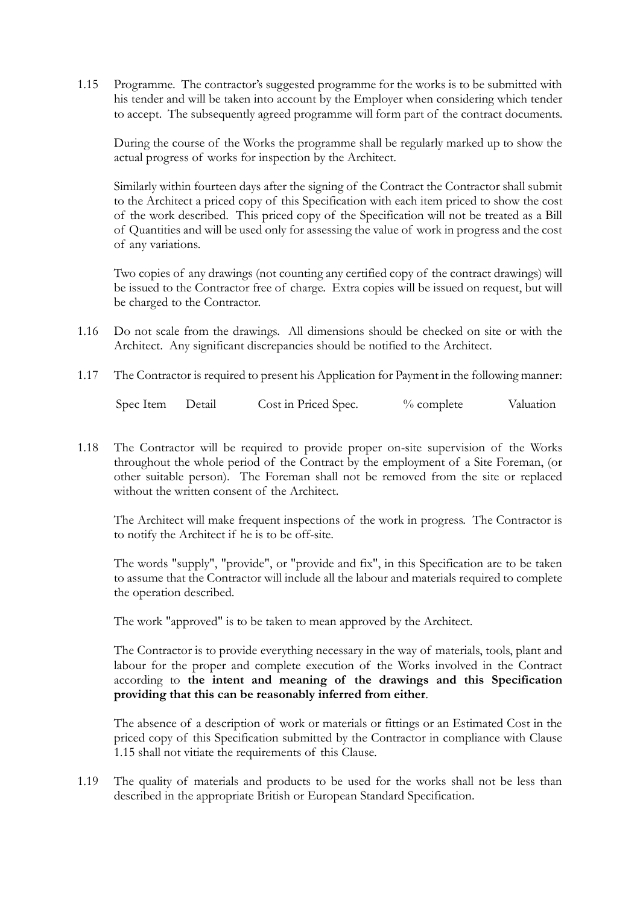1.15 Programme. The contractor's suggested programme for the works is to be submitted with his tender and will be taken into account by the Employer when considering which tender to accept. The subsequently agreed programme will form part of the contract documents.

During the course of the Works the programme shall be regularly marked up to show the actual progress of works for inspection by the Architect.

Similarly within fourteen days after the signing of the Contract the Contractor shall submit to the Architect a priced copy of this Specification with each item priced to show the cost of the work described. This priced copy of the Specification will not be treated as a Bill of Quantities and will be used only for assessing the value of work in progress and the cost of any variations.

Two copies of any drawings (not counting any certified copy of the contract drawings) will be issued to the Contractor free of charge. Extra copies will be issued on request, but will be charged to the Contractor.

- 1.16 Do not scale from the drawings. All dimensions should be checked on site or with the Architect. Any significant discrepancies should be notified to the Architect.
- 1.17 The Contractor is required to present his Application for Payment in the following manner:

Spec Item Detail Cost in Priced Spec. % complete Valuation

1.18 The Contractor will be required to provide proper on-site supervision of the Works throughout the whole period of the Contract by the employment of a Site Foreman, (or other suitable person). The Foreman shall not be removed from the site or replaced without the written consent of the Architect.

The Architect will make frequent inspections of the work in progress. The Contractor is to notify the Architect if he is to be off-site.

The words "supply", "provide", or "provide and fix", in this Specification are to be taken to assume that the Contractor will include all the labour and materials required to complete the operation described.

The work "approved" is to be taken to mean approved by the Architect.

The Contractor is to provide everything necessary in the way of materials, tools, plant and labour for the proper and complete execution of the Works involved in the Contract according to **the intent and meaning of the drawings and this Specification providing that this can be reasonably inferred from either**.

The absence of a description of work or materials or fittings or an Estimated Cost in the priced copy of this Specification submitted by the Contractor in compliance with Clause 1.15 shall not vitiate the requirements of this Clause.

1.19 The quality of materials and products to be used for the works shall not be less than described in the appropriate British or European Standard Specification.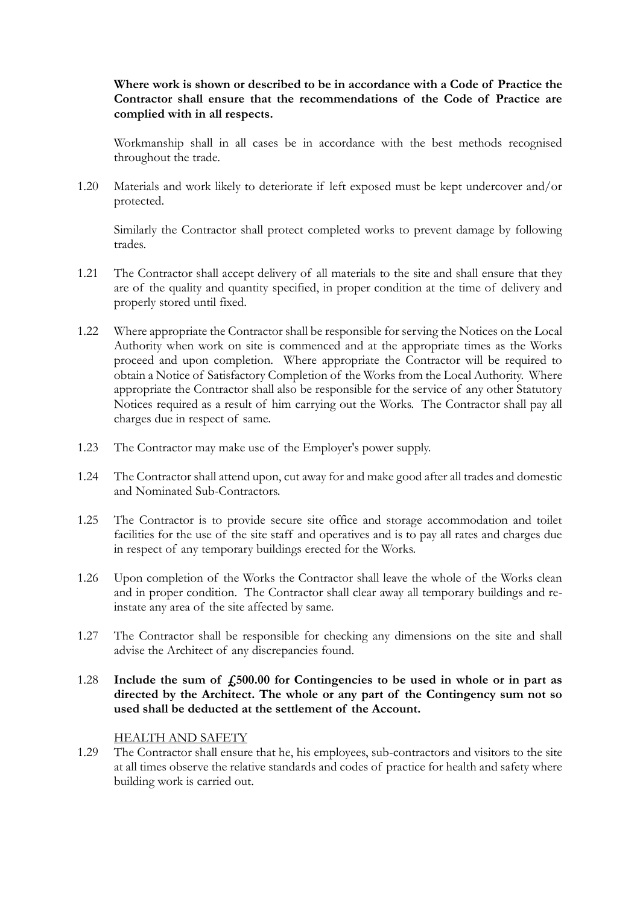## **Where work is shown or described to be in accordance with a Code of Practice the Contractor shall ensure that the recommendations of the Code of Practice are complied with in all respects.**

Workmanship shall in all cases be in accordance with the best methods recognised throughout the trade.

1.20 Materials and work likely to deteriorate if left exposed must be kept undercover and/or protected.

Similarly the Contractor shall protect completed works to prevent damage by following trades.

- 1.21 The Contractor shall accept delivery of all materials to the site and shall ensure that they are of the quality and quantity specified, in proper condition at the time of delivery and properly stored until fixed.
- 1.22 Where appropriate the Contractor shall be responsible for serving the Notices on the Local Authority when work on site is commenced and at the appropriate times as the Works proceed and upon completion. Where appropriate the Contractor will be required to obtain a Notice of Satisfactory Completion of the Works from the Local Authority. Where appropriate the Contractor shall also be responsible for the service of any other Statutory Notices required as a result of him carrying out the Works. The Contractor shall pay all charges due in respect of same.
- 1.23 The Contractor may make use of the Employer's power supply.
- 1.24 The Contractor shall attend upon, cut away for and make good after all trades and domestic and Nominated Sub-Contractors.
- 1.25 The Contractor is to provide secure site office and storage accommodation and toilet facilities for the use of the site staff and operatives and is to pay all rates and charges due in respect of any temporary buildings erected for the Works.
- 1.26 Upon completion of the Works the Contractor shall leave the whole of the Works clean and in proper condition. The Contractor shall clear away all temporary buildings and reinstate any area of the site affected by same.
- 1.27 The Contractor shall be responsible for checking any dimensions on the site and shall advise the Architect of any discrepancies found.
- 1.28 **Include the sum of £500.00 for Contingencies to be used in whole or in part as directed by the Architect. The whole or any part of the Contingency sum not so used shall be deducted at the settlement of the Account.**

## HEALTH AND SAFETY

1.29 The Contractor shall ensure that he, his employees, sub-contractors and visitors to the site at all times observe the relative standards and codes of practice for health and safety where building work is carried out.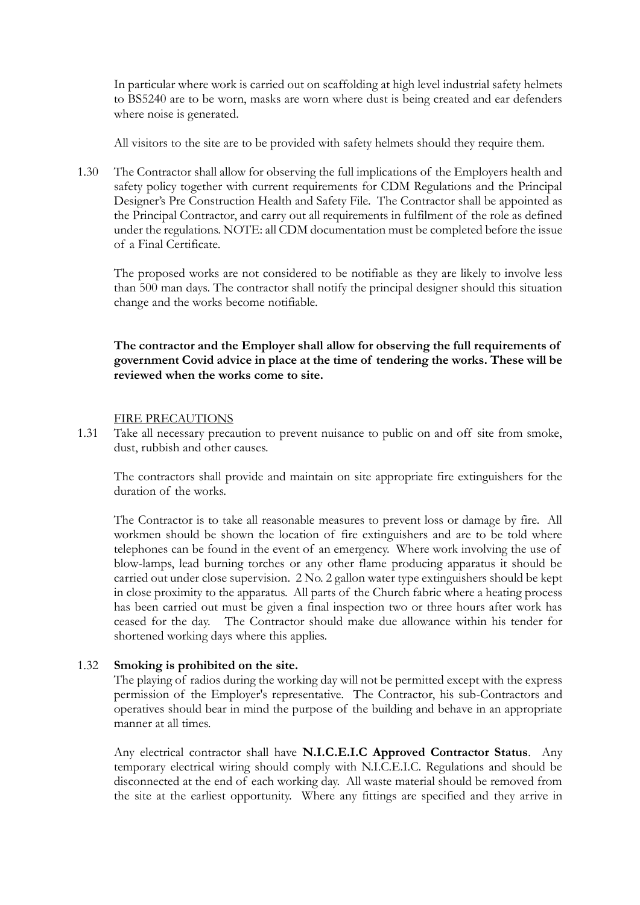In particular where work is carried out on scaffolding at high level industrial safety helmets to BS5240 are to be worn, masks are worn where dust is being created and ear defenders where noise is generated.

All visitors to the site are to be provided with safety helmets should they require them.

1.30 The Contractor shall allow for observing the full implications of the Employers health and safety policy together with current requirements for CDM Regulations and the Principal Designer's Pre Construction Health and Safety File. The Contractor shall be appointed as the Principal Contractor, and carry out all requirements in fulfilment of the role as defined under the regulations. NOTE: all CDM documentation must be completed before the issue of a Final Certificate.

The proposed works are not considered to be notifiable as they are likely to involve less than 500 man days. The contractor shall notify the principal designer should this situation change and the works become notifiable.

**The contractor and the Employer shall allow for observing the full requirements of government Covid advice in place at the time of tendering the works. These will be reviewed when the works come to site.** 

### FIRE PRECAUTIONS

1.31 Take all necessary precaution to prevent nuisance to public on and off site from smoke, dust, rubbish and other causes.

The contractors shall provide and maintain on site appropriate fire extinguishers for the duration of the works.

The Contractor is to take all reasonable measures to prevent loss or damage by fire. All workmen should be shown the location of fire extinguishers and are to be told where telephones can be found in the event of an emergency. Where work involving the use of blow-lamps, lead burning torches or any other flame producing apparatus it should be carried out under close supervision. 2 No. 2 gallon water type extinguishers should be kept in close proximity to the apparatus. All parts of the Church fabric where a heating process has been carried out must be given a final inspection two or three hours after work has ceased for the day. The Contractor should make due allowance within his tender for shortened working days where this applies.

## 1.32 **Smoking is prohibited on the site.**

The playing of radios during the working day will not be permitted except with the express permission of the Employer's representative. The Contractor, his sub-Contractors and operatives should bear in mind the purpose of the building and behave in an appropriate manner at all times.

Any electrical contractor shall have **N.I.C.E.I.C Approved Contractor Status**. Any temporary electrical wiring should comply with N.I.C.E.I.C. Regulations and should be disconnected at the end of each working day. All waste material should be removed from the site at the earliest opportunity. Where any fittings are specified and they arrive in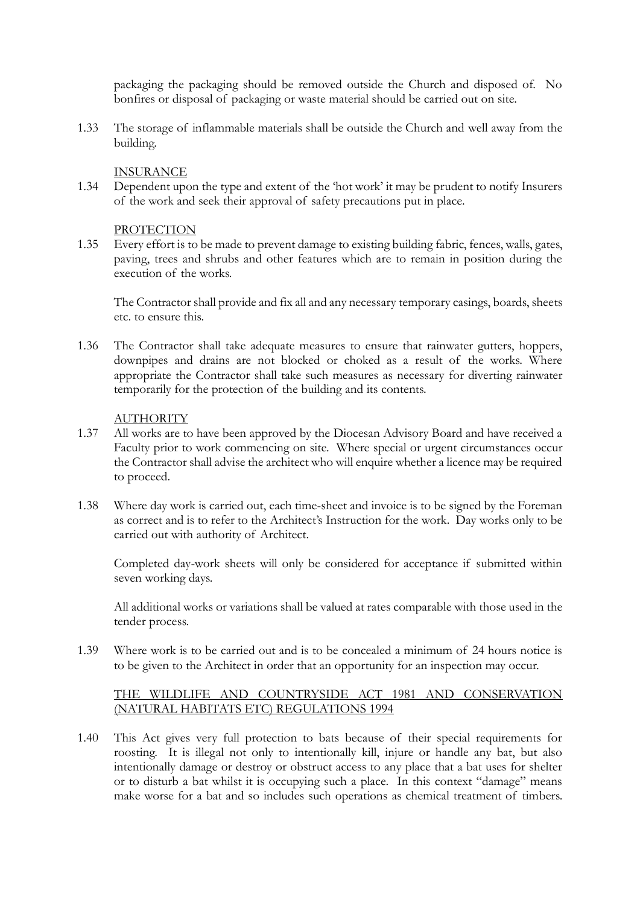packaging the packaging should be removed outside the Church and disposed of. No bonfires or disposal of packaging or waste material should be carried out on site.

1.33 The storage of inflammable materials shall be outside the Church and well away from the building.

## INSURANCE

1.34 Dependent upon the type and extent of the 'hot work' it may be prudent to notify Insurers of the work and seek their approval of safety precautions put in place.

## PROTECTION

1.35 Every effort is to be made to prevent damage to existing building fabric, fences, walls, gates, paving, trees and shrubs and other features which are to remain in position during the execution of the works.

The Contractor shall provide and fix all and any necessary temporary casings, boards, sheets etc. to ensure this.

1.36 The Contractor shall take adequate measures to ensure that rainwater gutters, hoppers, downpipes and drains are not blocked or choked as a result of the works. Where appropriate the Contractor shall take such measures as necessary for diverting rainwater temporarily for the protection of the building and its contents.

### **AUTHORITY**

- 1.37 All works are to have been approved by the Diocesan Advisory Board and have received a Faculty prior to work commencing on site. Where special or urgent circumstances occur the Contractor shall advise the architect who will enquire whether a licence may be required to proceed.
- 1.38 Where day work is carried out, each time-sheet and invoice is to be signed by the Foreman as correct and is to refer to the Architect's Instruction for the work. Day works only to be carried out with authority of Architect.

Completed day-work sheets will only be considered for acceptance if submitted within seven working days.

All additional works or variations shall be valued at rates comparable with those used in the tender process.

1.39 Where work is to be carried out and is to be concealed a minimum of 24 hours notice is to be given to the Architect in order that an opportunity for an inspection may occur.

## THE WILDLIFE AND COUNTRYSIDE ACT 1981 AND CONSERVATION (NATURAL HABITATS ETC) REGULATIONS 1994

1.40 This Act gives very full protection to bats because of their special requirements for roosting. It is illegal not only to intentionally kill, injure or handle any bat, but also intentionally damage or destroy or obstruct access to any place that a bat uses for shelter or to disturb a bat whilst it is occupying such a place. In this context "damage" means make worse for a bat and so includes such operations as chemical treatment of timbers.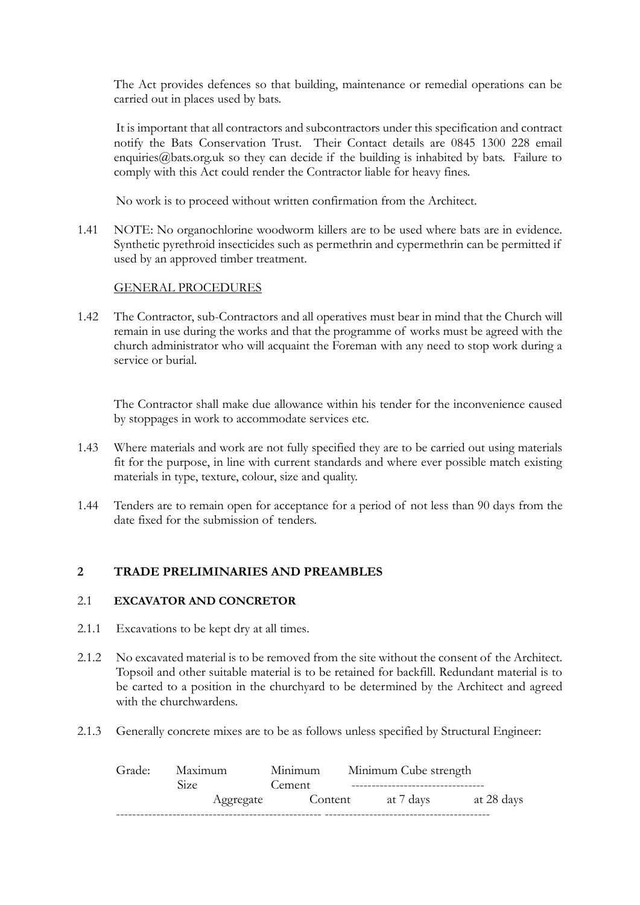The Act provides defences so that building, maintenance or remedial operations can be carried out in places used by bats.

It is important that all contractors and subcontractors under this specification and contract notify the Bats Conservation Trust. Their Contact details are 0845 1300 228 email enquiries@bats.org.uk so they can decide if the building is inhabited by bats. Failure to comply with this Act could render the Contractor liable for heavy fines.

No work is to proceed without written confirmation from the Architect.

1.41 NOTE: No organochlorine woodworm killers are to be used where bats are in evidence. Synthetic pyrethroid insecticides such as permethrin and cypermethrin can be permitted if used by an approved timber treatment.

### GENERAL PROCEDURES

1.42 The Contractor, sub-Contractors and all operatives must bear in mind that the Church will remain in use during the works and that the programme of works must be agreed with the church administrator who will acquaint the Foreman with any need to stop work during a service or burial.

The Contractor shall make due allowance within his tender for the inconvenience caused by stoppages in work to accommodate services etc.

- 1.43 Where materials and work are not fully specified they are to be carried out using materials fit for the purpose, in line with current standards and where ever possible match existing materials in type, texture, colour, size and quality.
- 1.44 Tenders are to remain open for acceptance for a period of not less than 90 days from the date fixed for the submission of tenders.

## **2 TRADE PRELIMINARIES AND PREAMBLES**

#### 2.1 **EXCAVATOR AND CONCRETOR**

- 2.1.1 Excavations to be kept dry at all times.
- 2.1.2 No excavated material is to be removed from the site without the consent of the Architect. Topsoil and other suitable material is to be retained for backfill. Redundant material is to be carted to a position in the churchyard to be determined by the Architect and agreed with the churchwardens.
- 2.1.3 Generally concrete mixes are to be as follows unless specified by Structural Engineer:

| Grade: Maximum | Minimum | Minimum Cube strength |            |
|----------------|---------|-----------------------|------------|
| Size:          | Cement  |                       |            |
| Aggregate      | Content | at 7 days             | at 28 days |
|                |         |                       |            |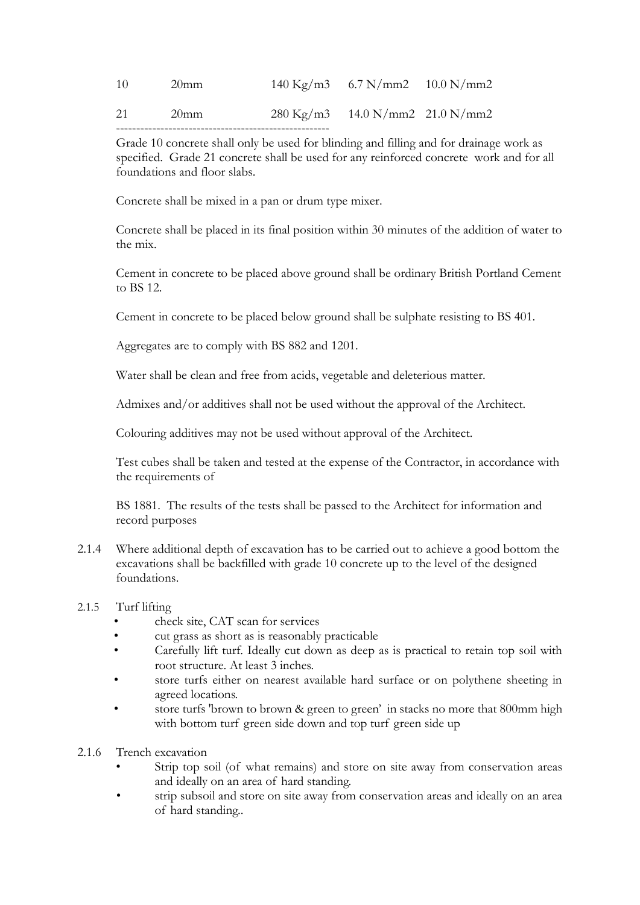| 10 | $20$ mm | $140 \text{ Kg/m3}$ 6.7 N/mm2 10.0 N/mm2  |  |
|----|---------|-------------------------------------------|--|
| 21 | $20$ mm | $280 \text{ Kg/m3}$ 14.0 N/mm2 21.0 N/mm2 |  |
|    |         |                                           |  |

Grade 10 concrete shall only be used for blinding and filling and for drainage work as specified. Grade 21 concrete shall be used for any reinforced concrete work and for all foundations and floor slabs.

Concrete shall be mixed in a pan or drum type mixer.

Concrete shall be placed in its final position within 30 minutes of the addition of water to the mix.

Cement in concrete to be placed above ground shall be ordinary British Portland Cement to BS 12.

Cement in concrete to be placed below ground shall be sulphate resisting to BS 401.

Aggregates are to comply with BS 882 and 1201.

Water shall be clean and free from acids, vegetable and deleterious matter.

Admixes and/or additives shall not be used without the approval of the Architect.

Colouring additives may not be used without approval of the Architect.

Test cubes shall be taken and tested at the expense of the Contractor, in accordance with the requirements of

BS 1881. The results of the tests shall be passed to the Architect for information and record purposes

2.1.4 Where additional depth of excavation has to be carried out to achieve a good bottom the excavations shall be backfilled with grade 10 concrete up to the level of the designed foundations.

## 2.1.5 Turf lifting

- check site, CAT scan for services
- cut grass as short as is reasonably practicable
- Carefully lift turf. Ideally cut down as deep as is practical to retain top soil with root structure. At least 3 inches.
- store turfs either on nearest available hard surface or on polythene sheeting in agreed locations.
- store turfs 'brown to brown & green to green' in stacks no more that 800mm high with bottom turf green side down and top turf green side up
- 2.1.6 Trench excavation
	- Strip top soil (of what remains) and store on site away from conservation areas and ideally on an area of hard standing.
	- strip subsoil and store on site away from conservation areas and ideally on an area of hard standing..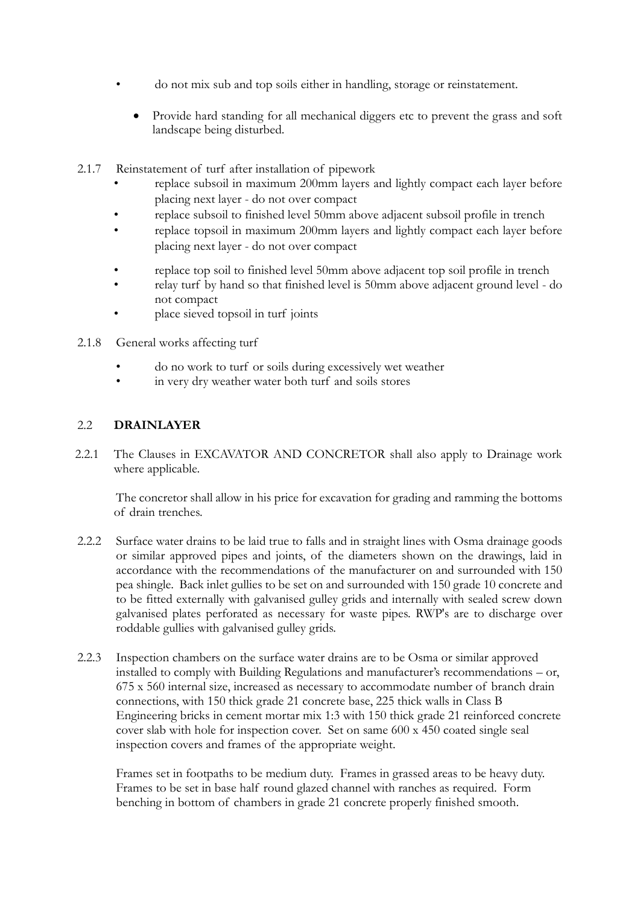- do not mix sub and top soils either in handling, storage or reinstatement.
	- Provide hard standing for all mechanical diggers etc to prevent the grass and soft landscape being disturbed.
- 2.1.7 Reinstatement of turf after installation of pipework
	- replace subsoil in maximum 200mm layers and lightly compact each layer before placing next layer - do not over compact
	- replace subsoil to finished level 50mm above adjacent subsoil profile in trench
	- replace topsoil in maximum 200mm layers and lightly compact each layer before placing next layer - do not over compact
	- replace top soil to finished level 50mm above adjacent top soil profile in trench
	- relay turf by hand so that finished level is 50mm above adjacent ground level do not compact
	- place sieved topsoil in turf joints
- 2.1.8 General works affecting turf
	- do no work to turf or soils during excessively wet weather
	- in very dry weather water both turf and soils stores

## 2.2 **DRAINLAYER**

2.2.1 The Clauses in EXCAVATOR AND CONCRETOR shall also apply to Drainage work where applicable.

The concretor shall allow in his price for excavation for grading and ramming the bottoms of drain trenches.

- 2.2.2 Surface water drains to be laid true to falls and in straight lines with Osma drainage goods or similar approved pipes and joints, of the diameters shown on the drawings, laid in accordance with the recommendations of the manufacturer on and surrounded with 150 pea shingle. Back inlet gullies to be set on and surrounded with 150 grade 10 concrete and to be fitted externally with galvanised gulley grids and internally with sealed screw down galvanised plates perforated as necessary for waste pipes. RWP's are to discharge over roddable gullies with galvanised gulley grids.
- 2.2.3 Inspection chambers on the surface water drains are to be Osma or similar approved installed to comply with Building Regulations and manufacturer's recommendations – or, 675 x 560 internal size, increased as necessary to accommodate number of branch drain connections, with 150 thick grade 21 concrete base, 225 thick walls in Class B Engineering bricks in cement mortar mix 1:3 with 150 thick grade 21 reinforced concrete cover slab with hole for inspection cover. Set on same 600 x 450 coated single seal inspection covers and frames of the appropriate weight.

Frames set in footpaths to be medium duty. Frames in grassed areas to be heavy duty. Frames to be set in base half round glazed channel with ranches as required. Form benching in bottom of chambers in grade 21 concrete properly finished smooth.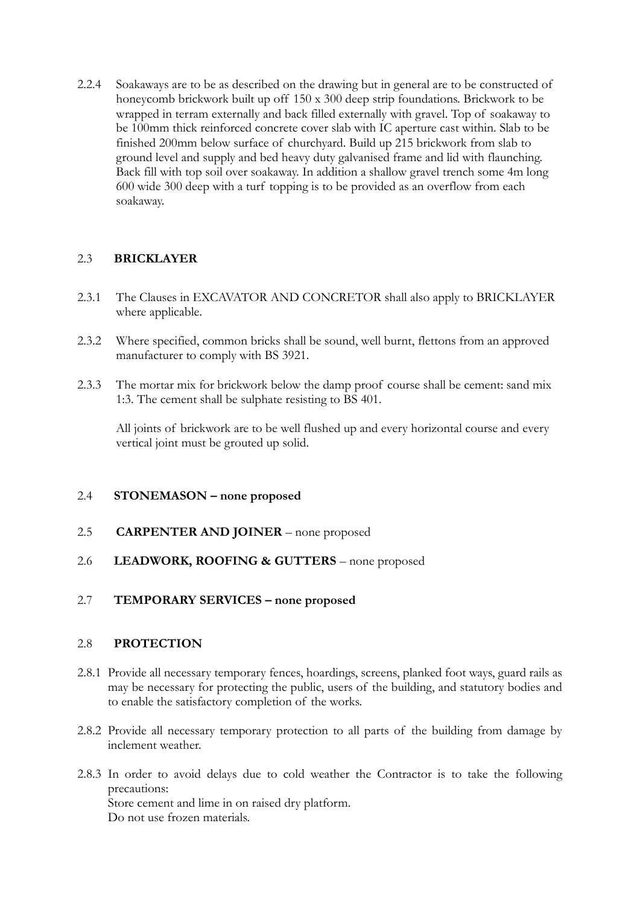2.2.4 Soakaways are to be as described on the drawing but in general are to be constructed of honeycomb brickwork built up off 150 x 300 deep strip foundations. Brickwork to be wrapped in terram externally and back filled externally with gravel. Top of soakaway to be 100mm thick reinforced concrete cover slab with IC aperture cast within. Slab to be finished 200mm below surface of churchyard. Build up 215 brickwork from slab to ground level and supply and bed heavy duty galvanised frame and lid with flaunching. Back fill with top soil over soakaway. In addition a shallow gravel trench some 4m long 600 wide 300 deep with a turf topping is to be provided as an overflow from each soakaway.

## 2.3 **BRICKLAYER**

- 2.3.1 The Clauses in EXCAVATOR AND CONCRETOR shall also apply to BRICKLAYER where applicable.
- 2.3.2 Where specified, common bricks shall be sound, well burnt, flettons from an approved manufacturer to comply with BS 3921.
- 2.3.3 The mortar mix for brickwork below the damp proof course shall be cement: sand mix 1:3. The cement shall be sulphate resisting to BS 401.

All joints of brickwork are to be well flushed up and every horizontal course and every vertical joint must be grouted up solid.

## 2.4 **STONEMASON – none proposed**

- 2.5 **CARPENTER AND JOINER** none proposed
- 2.6 **LEADWORK, ROOFING & GUTTERS** none proposed

## 2.7 **TEMPORARY SERVICES – none proposed**

## 2.8 **PROTECTION**

- 2.8.1 Provide all necessary temporary fences, hoardings, screens, planked foot ways, guard rails as may be necessary for protecting the public, users of the building, and statutory bodies and to enable the satisfactory completion of the works.
- 2.8.2 Provide all necessary temporary protection to all parts of the building from damage by inclement weather.
- 2.8.3 In order to avoid delays due to cold weather the Contractor is to take the following precautions: Store cement and lime in on raised dry platform. Do not use frozen materials.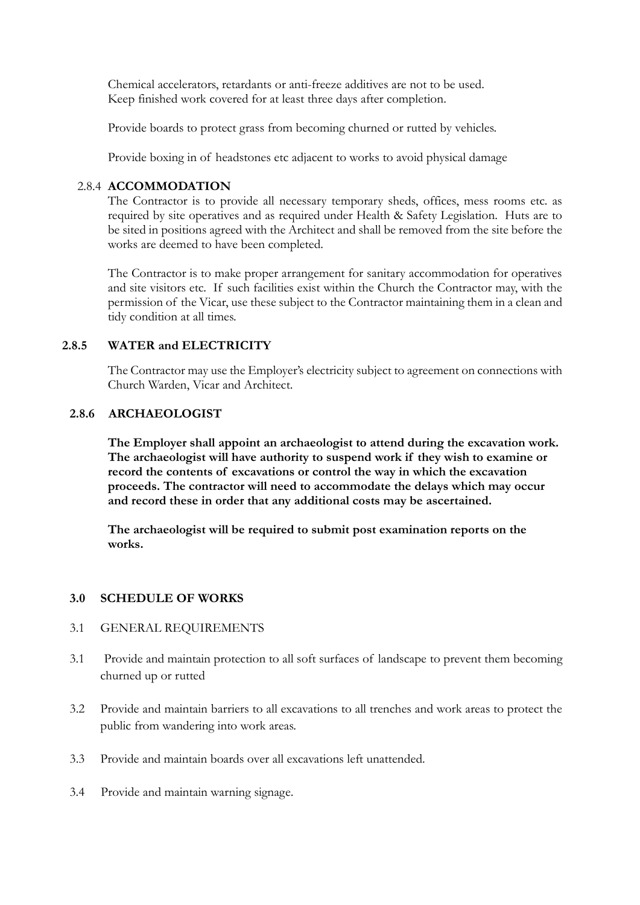Chemical accelerators, retardants or anti-freeze additives are not to be used. Keep finished work covered for at least three days after completion.

Provide boards to protect grass from becoming churned or rutted by vehicles.

Provide boxing in of headstones etc adjacent to works to avoid physical damage

## 2.8.4 **ACCOMMODATION**

The Contractor is to provide all necessary temporary sheds, offices, mess rooms etc. as required by site operatives and as required under Health & Safety Legislation. Huts are to be sited in positions agreed with the Architect and shall be removed from the site before the works are deemed to have been completed.

The Contractor is to make proper arrangement for sanitary accommodation for operatives and site visitors etc. If such facilities exist within the Church the Contractor may, with the permission of the Vicar, use these subject to the Contractor maintaining them in a clean and tidy condition at all times.

## **2.8.5 WATER and ELECTRICITY**

The Contractor may use the Employer's electricity subject to agreement on connections with Church Warden, Vicar and Architect.

### **2.8.6 ARCHAEOLOGIST**

**The Employer shall appoint an archaeologist to attend during the excavation work. The archaeologist will have authority to suspend work if they wish to examine or record the contents of excavations or control the way in which the excavation proceeds. The contractor will need to accommodate the delays which may occur and record these in order that any additional costs may be ascertained.** 

**The archaeologist will be required to submit post examination reports on the works.** 

#### **3.0 SCHEDULE OF WORKS**

#### 3.1 GENERAL REQUIREMENTS

- 3.1 Provide and maintain protection to all soft surfaces of landscape to prevent them becoming churned up or rutted
- 3.2 Provide and maintain barriers to all excavations to all trenches and work areas to protect the public from wandering into work areas.
- 3.3 Provide and maintain boards over all excavations left unattended.
- 3.4 Provide and maintain warning signage.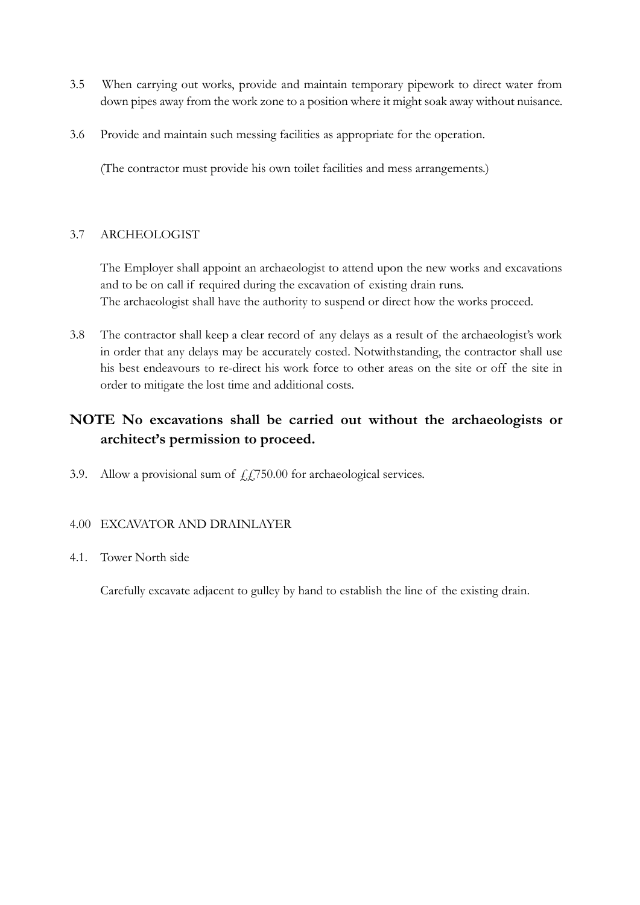- 3.5 When carrying out works, provide and maintain temporary pipework to direct water from down pipes away from the work zone to a position where it might soak away without nuisance.
- 3.6 Provide and maintain such messing facilities as appropriate for the operation.

(The contractor must provide his own toilet facilities and mess arrangements.)

## 3.7 ARCHEOLOGIST

The Employer shall appoint an archaeologist to attend upon the new works and excavations and to be on call if required during the excavation of existing drain runs. The archaeologist shall have the authority to suspend or direct how the works proceed.

3.8 The contractor shall keep a clear record of any delays as a result of the archaeologist's work in order that any delays may be accurately costed. Notwithstanding, the contractor shall use his best endeavours to re-direct his work force to other areas on the site or off the site in order to mitigate the lost time and additional costs.

# **NOTE No excavations shall be carried out without the archaeologists or architect's permission to proceed.**

3.9. Allow a provisional sum of  $\text{\textsterling}L$ 750.00 for archaeological services.

## 4.00 EXCAVATOR AND DRAINLAYER

## 4.1. Tower North side

Carefully excavate adjacent to gulley by hand to establish the line of the existing drain.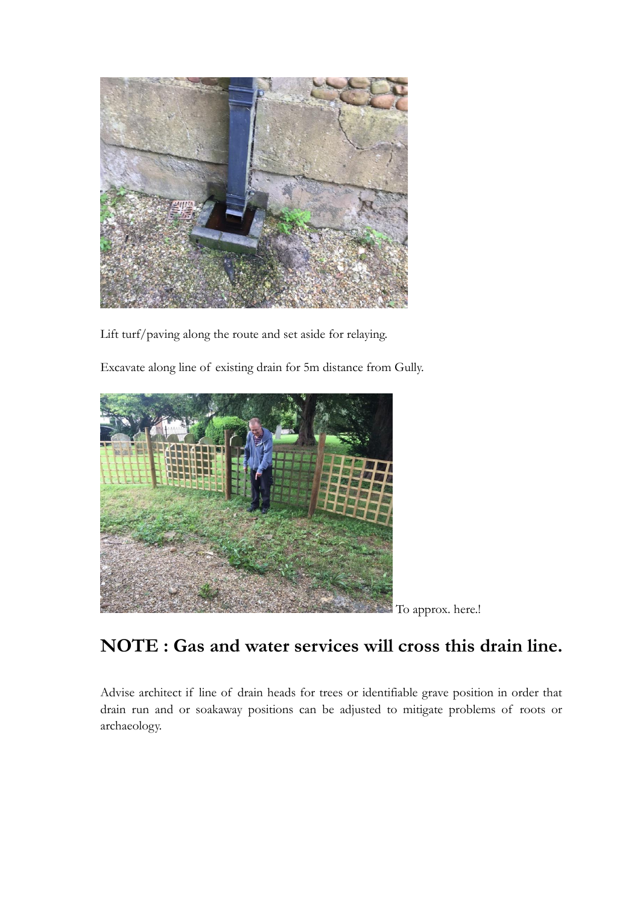

Lift turf/paving along the route and set aside for relaying.

Excavate along line of existing drain for 5m distance from Gully.



To approx. here.!

# **NOTE : Gas and water services will cross this drain line.**

Advise architect if line of drain heads for trees or identifiable grave position in order that drain run and or soakaway positions can be adjusted to mitigate problems of roots or archaeology.